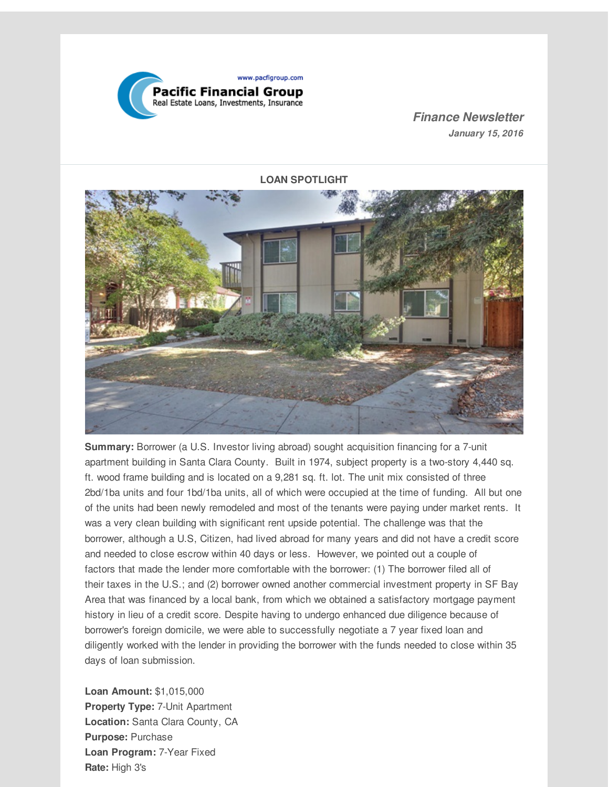

*Finance Newsletter January 15, 2016*

**LOAN SPOTLIGHT**



**Summary:** Borrower (a U.S. Investor living abroad) sought acquisition financing for a 7-unit apartment building in Santa Clara County. Built in 1974, subject property is a two-story 4,440 sq. ft. wood frame building and is located on a 9,281 sq. ft. lot. The unit mix consisted of three 2bd/1ba units and four 1bd/1ba units, all of which were occupied at the time of funding. All but one of the units had been newly remodeled and most of the tenants were paying under market rents. It was a very clean building with significant rent upside potential. The challenge was that the borrower, although a U.S, Citizen, had lived abroad for many years and did not have a credit score and needed to close escrow within 40 days or less. However, we pointed out a couple of factors that made the lender more comfortable with the borrower: (1) The borrower filed all of their taxes in the U.S.; and (2) borrower owned another commercial investment property in SF Bay Area that was financed by a local bank, from which we obtained a satisfactory mortgage payment history in lieu of a credit score. Despite having to undergo enhanced due diligence because of borrower's foreign domicile, we were able to successfully negotiate a 7 year fixed loan and diligently worked with the lender in providing the borrower with the funds needed to close within 35 days of loan submission.

**Loan Amount:** \$1,015,000 **Property Type:** 7-Unit Apartment **Location:** Santa Clara County, CA **Purpose:** Purchase **Loan Program:** 7-Year Fixed **Rate:** High 3's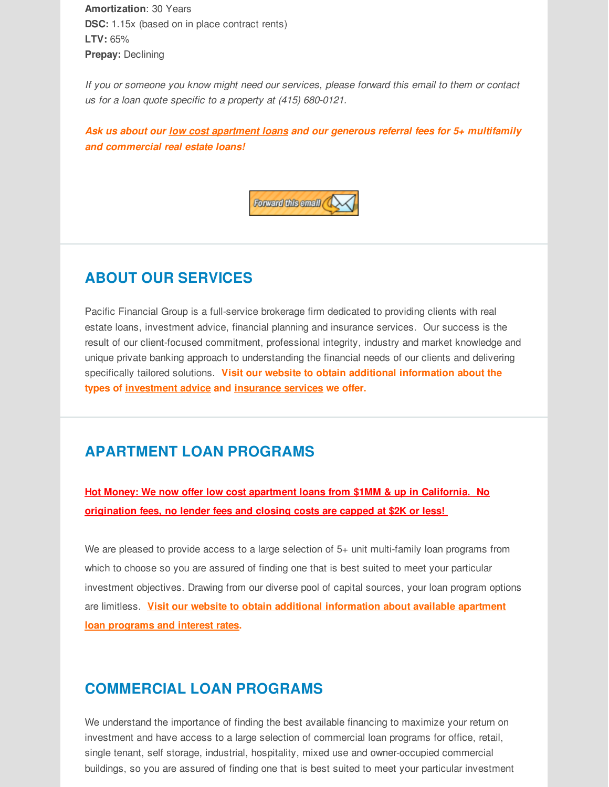**Amortization**: 30 Years **DSC:** 1.15x (based on in place contract rents) **LTV:** 65% **Prepay:** Declining

*If you or someone you know might need our services, please forward this email to them or contact us for a loan quote specific to a property at (415) 680-0121.*

*Ask us about our low cost apartment loans and our generous referral fees for 5+ multifamily and commercial real estate loans!*



# **ABOUT OUR SERVICES**

Pacific Financial Group is a full-service brokerage firm dedicated to providing clients with real estate loans, investment advice, financial planning and insurance services. Our success is the result of our client-focused commitment, professional integrity, industry and market knowledge and unique private banking approach to understanding the financial needs of our clients and delivering specifically tailored solutions. **Visit our website to obtain additional information about the types of [investment](http://r20.rs6.net/tn.jsp?f=001LivhuORwaeGjBNNbJ9deWb89LPI2FjXyYF8D4vJzw-CqmrtA3ydewGZuyBK4Rh-WZd9dQOlG0DQ2TJbvg06emeumpj1bo57AkAH-JW3FzyHxAzI7zmgz6yHhbVWcYBc-WVC8HDx16oY_ln6seUGihTCImVNDrC7Tu9rHMbQs4RnfDHJGcxO9hlXGRXdFOzTtZdqDd5kPWwg=&c=&ch=) advice and [insurance](http://r20.rs6.net/tn.jsp?f=001LivhuORwaeGjBNNbJ9deWb89LPI2FjXyYF8D4vJzw-CqmrtA3ydewGZuyBK4Rh-WT4c4FFxOxid8Cqm5Qb9RFda5nF4vWo6C-_ugMTvynFj-zwOFuoFqM3drZWosQmqoEsoYdOGpaS7xNAiVAHwm4HnG_0BV15NekIYHDg0Ei6EcIsj7bbroaLoO1H8DjjImF4wKyXvSVic=&c=&ch=) services we offer.**

### **APARTMENT LOAN PROGRAMS**

**Hot Money: We now offer low cost apartment loans from \$1MM & up in California. No origination fees, no lender fees and closing costs are capped at \$2K or less!**

We are pleased to provide access to a large selection of 5+ unit multi-family loan programs from which to choose so you are assured of finding one that is best suited to meet your particular investment objectives. Drawing from our diverse pool of capital sources, your loan program options are limitless. **Visit our website to obtain additional [information](http://r20.rs6.net/tn.jsp?f=001LivhuORwaeGjBNNbJ9deWb89LPI2FjXyYF8D4vJzw-CqmrtA3ydewGZuyBK4Rh-Wxxe_8OA2yexKFv-3kIQKwpXjs7IwexxXNe48KAlMwoUYGBDkWRUVfzF47VnSTfgZSrpIayDOJ9QdeGdGybXfqbABTiQkCUDtqZ7a2nA_wgiPirMSi8MEUhMXAtpgI6XikM29tXEtrEc=&c=&ch=) about available apartment loan programs and interest rates.**

### **COMMERCIAL LOAN PROGRAMS**

We understand the importance of finding the best available financing to maximize your return on investment and have access to a large selection of commercial loan programs for office, retail, single tenant, self storage, industrial, hospitality, mixed use and owner-occupied commercial buildings, so you are assured of finding one that is best suited to meet your particular investment